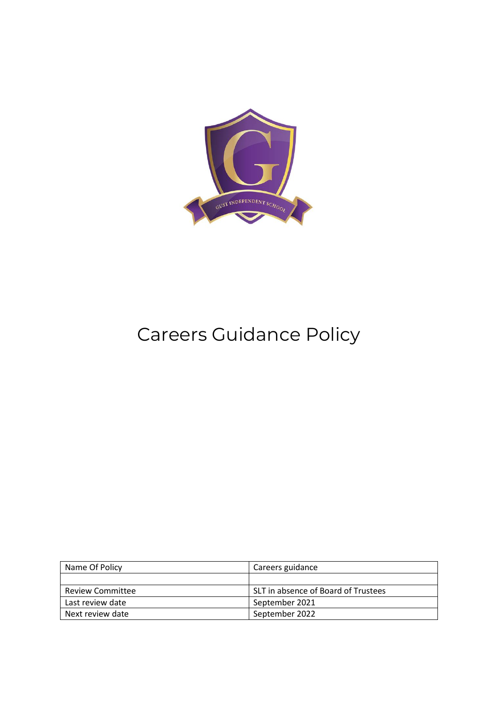

## Careers Guidance Policy

| Name Of Policy   | Careers guidance                    |
|------------------|-------------------------------------|
|                  |                                     |
| Review Committee | SLT in absence of Board of Trustees |
| Last review date | September 2021                      |
| Next review date | September 2022                      |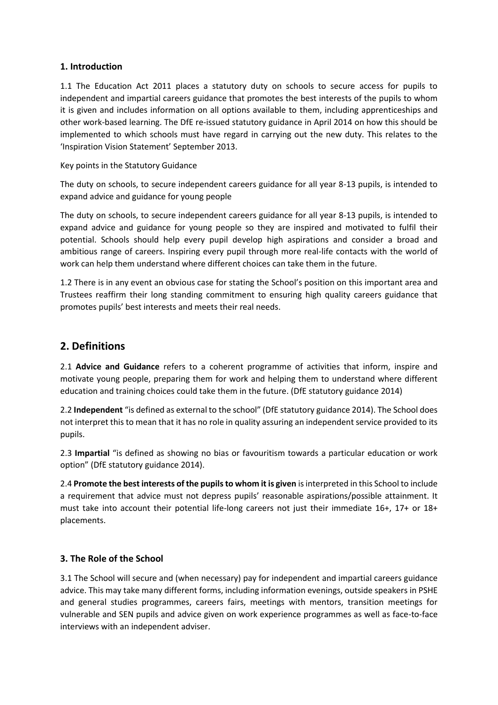## **1. Introduction**

1.1 The Education Act 2011 places a statutory duty on schools to secure access for pupils to independent and impartial careers guidance that promotes the best interests of the pupils to whom it is given and includes information on all options available to them, including apprenticeships and other work-based learning. The DfE re-issued statutory guidance in April 2014 on how this should be implemented to which schools must have regard in carrying out the new duty. This relates to the 'Inspiration Vision Statement' September 2013.

Key points in the Statutory Guidance

The duty on schools, to secure independent careers guidance for all year 8-13 pupils, is intended to expand advice and guidance for young people

The duty on schools, to secure independent careers guidance for all year 8-13 pupils, is intended to expand advice and guidance for young people so they are inspired and motivated to fulfil their potential. Schools should help every pupil develop high aspirations and consider a broad and ambitious range of careers. Inspiring every pupil through more real-life contacts with the world of work can help them understand where different choices can take them in the future.

1.2 There is in any event an obvious case for stating the School's position on this important area and Trustees reaffirm their long standing commitment to ensuring high quality careers guidance that promotes pupils' best interests and meets their real needs.

## **2. Definitions**

2.1 **Advice and Guidance** refers to a coherent programme of activities that inform, inspire and motivate young people, preparing them for work and helping them to understand where different education and training choices could take them in the future. (DfE statutory guidance 2014)

2.2 **Independent** "is defined as external to the school" (DfE statutory guidance 2014). The School does not interpret this to mean that it has no role in quality assuring an independent service provided to its pupils.

2.3 **Impartial** "is defined as showing no bias or favouritism towards a particular education or work option" (DfE statutory guidance 2014).

2.4 **Promote the best interests of the pupils to whom it is given** is interpreted in this School to include a requirement that advice must not depress pupils' reasonable aspirations/possible attainment. It must take into account their potential life-long careers not just their immediate 16+, 17+ or 18+ placements.

## **3. The Role of the School**

3.1 The School will secure and (when necessary) pay for independent and impartial careers guidance advice. This may take many different forms, including information evenings, outside speakers in PSHE and general studies programmes, careers fairs, meetings with mentors, transition meetings for vulnerable and SEN pupils and advice given on work experience programmes as well as face-to-face interviews with an independent adviser.